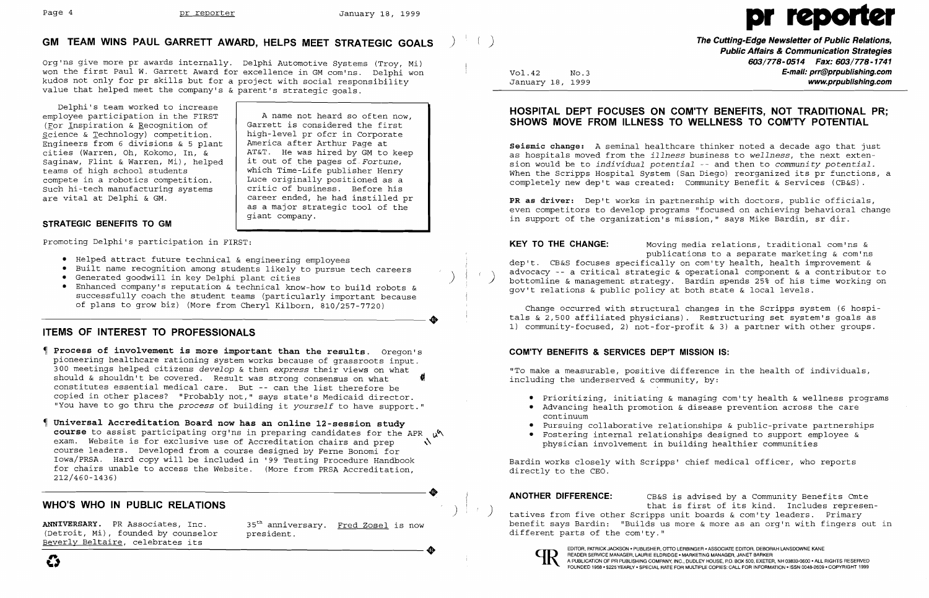AT&T. He was hired by GM to keep<br>it out of the pages of Fortune.

## **GM TEAM WINS PAUL GARRETT AWARD, HELPS MEET STRATEGIC GOALS** )

Delphi's team worked to increase employee participation in the FIRST  $\begin{array}{c|c} \begin{array}{c} \end{array}$  A name not heard so often now,<br>(For Inspiration & Recognition of  $\end{array}$  Garrett is considered the first (For Inspiration & Recognition of  $\begin{array}{|l|} \hline \text{Garrett is considered the first} \\ \hline \text{Science & Technology} \hline \end{array}$  competition.  $\begin{array}{|l|} \hline \text{Garrett is considered} \\ \hline \end{array}$  $\begin{array}{c|c} \text{Science & Technologies} \\ \text{Enqineers from 6 divisions & 5 plant} \end{array}$  high-level pr ofcr in Corporate Engineers from 6 divisions & 5 plant Engineers from 6 divisions & 5 plant<br>cities (Warren, Oh, Kokomo, In, & Saginaw, Flint & Warren, Mi), helped<br>teams of high school students compete in a robotics competition. Luce originally positioned as a Such hi-tech manufacturing systems<br>are vital at Delphi & GM.

Org'ns give more pr awards internally. Delphi Automotive Systems (Troy, Mi) won the first Paul W. Garrett Award for excellence in GM com'ns. Delphi won kudos not only for pr skills but for a project with social responsibility value that helped meet the company's & parent's strategic goals.

> career ended, he had instilled pr as a major strategic tool of the

which Time-Life publisher Henry<br>Luce originally positioned as a

- • Helped attract future technical & engineering employees
- Built name recognition among students likely to pursue tech careers<br>• Generated goodwill in key Delphi plant cities
- 
- Helped attract future technical & engineering employees<br>• Built name recognition among students likely to pursue tech careers<br>• Generated goodwill in key Delphi plant cities<br>• Enhanced company's reputation & technical kn successfully coach the student teams (particularly important because of plans to grow biz) (More from Cheryl Kilborn, 810/257-7720) successfully coach the student teams (particularly important because<br>of plans to grow biz) (More from Cheryl Kilborn, 810/257-7720)

giant company.

### **STRATEGIC BENEFITS TO GM**

promoting Delphi's participation in FIRST:

) **The Cutting-Edge Newsletter of Public Relations, Public Affairs & Communication Strategies 603/778-0514 Fax: 603/778-1741**  Vol.42 No.3 **E-mail: prr@prpublishing.com**  www.prpublishing.com

## **ITEMS OF INTEREST TO PROFESSIONALS**

- **Process of involvement is more important than the results.** Oregon's pioneering healthcare rationing system works because of grassroots input. 300 meetings helped citizens *develop* & then *express* their views on what should & shouldn't be covered. Result was strong consensus on what constitutes essential medical care. But -- can the list therefore be copied in other places? "Probably not," says state's Medicaid director. "You have to go thru the *process* of building it *yourself* to have support."
- **Universal Accreditation Board now has an online l2-session study course** to assist participating org'ns in preparing candidates for the APR ~~ exam. Website is for exclusive use of Accreditation chairs and prep  $\Delta$ course leaders. Developed from a course designed by Ferne Bonomi for Iowa/PRSA. Hard copy will be included in '99 Testing Procedure Handbook for chairs unable to access the Website. (More from PRSA Accreditation,<br>212/460-1436)<br>MULO'S WILLO IN DURLIC PELATIONS 212/460-1436)

## **WHO'S WHO IN PUBLIC RELATIONS** )

ANNIVERSARY. PR Associates, Inc. 35<sup>th</sup> anniversary. <u>Fred Zosel</u> is now<br>(Detroit, Mi), founded by counselor president. (Detroit, Mi), founded by counselor<br>Beverly Beltaire, celebrates its



# Page 4 **pr reporter** January 18, 1999 **provided**

## **HOSPITAL DEPT FOCUSES ON COM'TY BENEFITS, NOT TRADITIONAL PR; SHOWS MOVE FROM ILLNESS TO WELLNESS TO COM'TY POTENTIAL**

**Seismic change:** A seminal healthcare thinker noted a decade ago that just as hospitals moved from the *illness* business to *wellness,* the next extension would be to *individual potential* -- and then to *community potential.*  When the Scripps Hospital System (San Diego) reorganized its pr functions, a completely new dep't was created: Community Benefit & Services (CB&S).

**PR as driver:** Dep't works in partnership with doctors, public officials, even competitors to develop programs "focused on achieving behavioral change in support of the organization's mission," says Mike Bardin, sr dir.

publications to a separate marketing & com'ns

**KEY TO THE CHANGE:** Moving media relations, traditional com'ns & dep't. CB&S focuses specifically on com'ty health, health improvement & advocacy -- a critical strategic & operational component & a contributor to bottomline & management strategy. Bardin spends 25% of his time working on gov't relations & public policy at both state & local levels.

Change occurred with structural changes in the Scripps system (6 hospitals & 2,500 affiliated physicians). Restructuring set system's goals as 1) community-focused, 2) not-for-profit & 3) a partner with other groups.

### **COM'TY BENEFITS & SERVICES DEP'T MISSION IS:**

"To make a measurable, positive difference in the health of individuals, including the underserved & community, by:

• Prioritizing, initiating & managing com'ty health & wellness programs • Advancing health promotion & disease prevention across the care

- 
- continuum
- • Pursuing collaborative relationships & public-private partnerships
- physician involvement in building healthier communities

• Fostering internal relationships designed to support employee &

Bardin works closely with Scripps' chief medical officer, who reports directly to the CEO.

**ANOTHER DIFFERENCE:** CB&S is advised by a Community Benefits Cmte tatives from five other Scripps unit boards & com'ty leaders. Primary benefit says Bardin: "Builds us more & more as an org'n with fingers out in different parts of the com'ty."